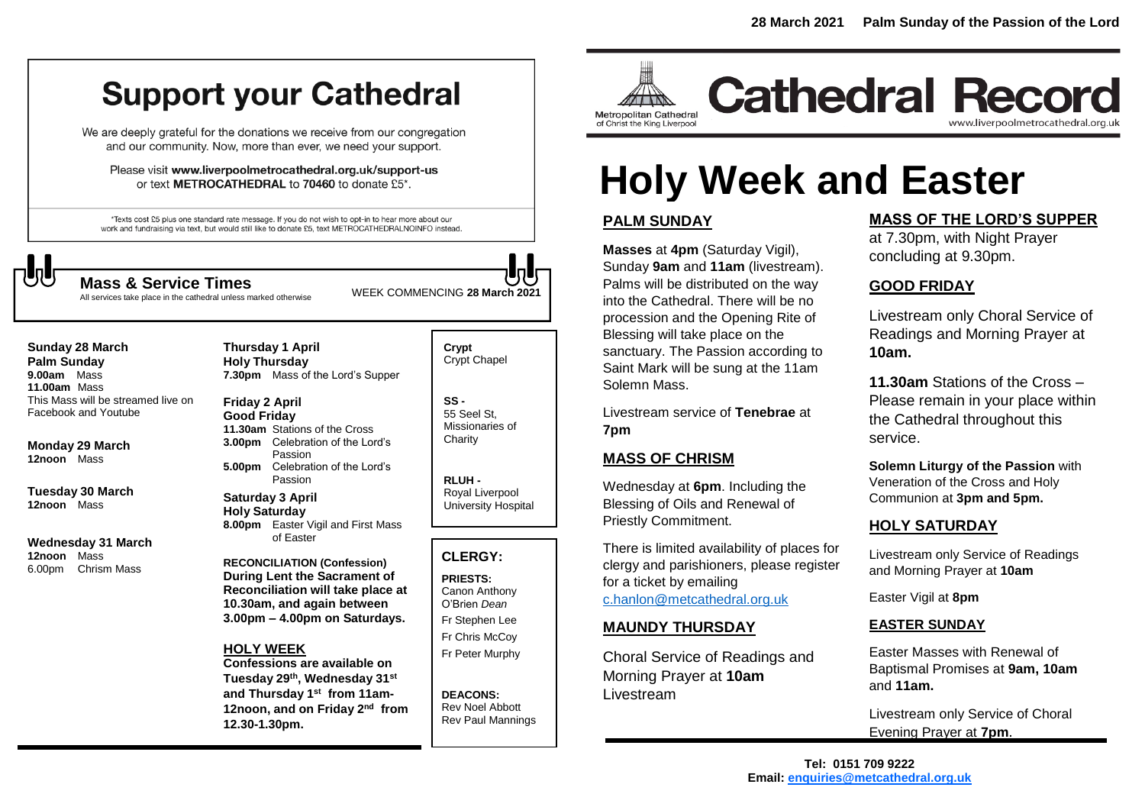# **Support your Cathedral**

We are deeply grateful for the donations we receive from our congregation and our community. Now, more than ever, we need your support.

Please visit www.liverpoolmetrocathedral.org.uk/support-us or text METROCATHEDRAL to 70460 to donate £5\*.

\*Texts cost £5 plus one standard rate message. If you do not wish to opt-in to hear more about our work and fundraising via text, but would still like to donate £5, text METROCATHEDRALNOINFO instead.

> **Thursday 1 April Holy Thursday**



WEEK COMMENCING **<sup>28</sup> March <sup>2021</sup> Mass & Service Times**

All services take place in the cathedral unless marked otherwise

**Sunday 28 March Palm Sunday 9.00am** Mass **11.00am** Mass This Mass will be streamed live on Facebook and Youtube

**Monday 29 March 12noon** Mass

**Tuesday 30 March 12noon** Mass

**Wednesday 31 March 12noon** Mass 6.00pm Chrism Mass

**7.30pm** Mass of the Lord's Supper **Friday 2 April Good Friday 11.30am** Stations of the Cross **3.00pm** Celebration of the Lord's Passion **5.00pm** Celebration of the Lord's

Passion **Saturday 3 April Holy Saturday 8.00pm** Easter Vigil and First Mass of Easter

**RECONCILIATION (Confession) During Lent the Sacrament of Reconciliation will take place at 10.30am, and again between 3.00pm – 4.00pm on Saturdays.**

#### **HOLY WEEK**

**Confessions are available on Tuesday 29th, Wednesday 31st and Thursday 1 st from 11am-**12noon, and on Friday 2<sup>nd</sup> from **12.30-1.30pm.**

**Crypt**  Crypt Chapel

**SS -** 55 Seel St, Missionaries of **Charity** 

**RLUH -** Royal Liverpool University Hospital

# **CLERGY:**

**PRIESTS:** Canon Anthony O'Brien *Dean* Fr Stephen Lee Fr Chris McCoy Fr Peter Murphy

**DEACONS:** Rev Noel Abbott Rev Paul Mannings



**Cathedral Record** www.liverpoolmetrocathedral.org.uk

# **Holy Week and Easter**

# **PALM SUNDAY**

**Masses** at **4pm** (Saturday Vigil), Sunday **9am** and **11am** (livestream). Palms will be distributed on the way into the Cathedral. There will be no procession and the Opening Rite of Blessing will take place on the sanctuary. The Passion according to Saint Mark will be sung at the 11am Solemn Mass.

Livestream service of **Tenebrae** at **7pm**

# **MASS OF CHRISM**

Wednesday at **6pm**. Including the Blessing of Oils and Renewal of Priestly Commitment.

There is limited availability of places for clergy and parishioners, please register for a ticket by emailing [c.hanlon@metcathedral.org.uk](mailto:c.hanlon@metcathedral.org.uk)

# **MAUNDY THURSDAY**

Choral Service of Readings and Morning Prayer at **10am** Livestream

### **MASS OF THE LORD'S SUPPER**

at 7.30pm, with Night Prayer concluding at 9.30pm.

## **GOOD FRIDAY**

Livestream only Choral Service of Readings and Morning Prayer at **10am.**

**11.30am** Stations of the Cross – Please remain in your place within the Cathedral throughout this service.

**Solemn Liturgy of the Passion** with Veneration of the Cross and Holy Communion at **3pm and 5pm.**

# **HOLY SATURDAY**

Livestream only Service of Readings and Morning Prayer at **10am**

Easter Vigil at **8pm**

#### **EASTER SUNDAY**

Easter Masses with Renewal of Baptismal Promises at **9am, 10am** and **11am.**

Livestream only Service of Choral Evening Prayer at **7pm**.